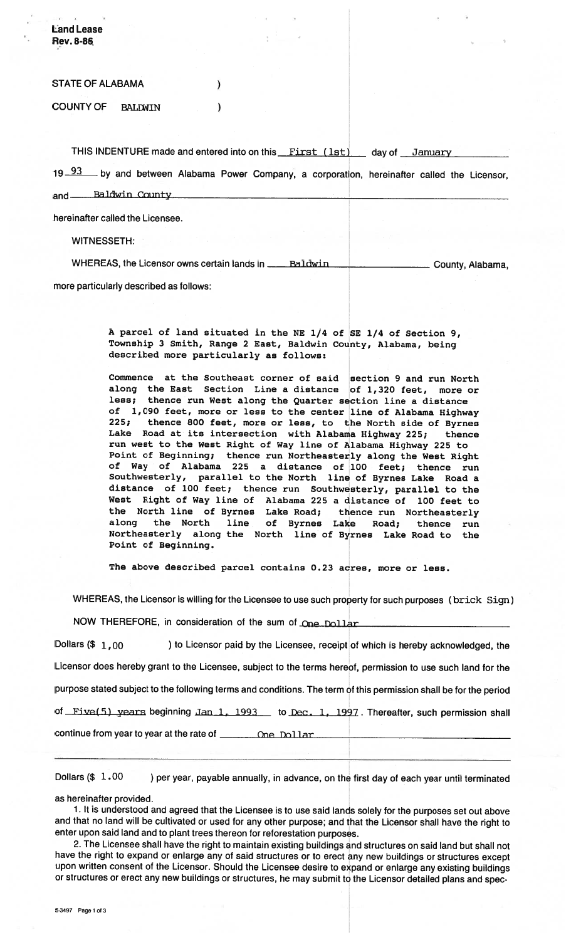- **Rev. 8-86,**  STATE OF ALABAMA  $\lambda$ COUNTY OF **BALIgWIN**   $\lambda$ THIS INDENTURE made and entered into on this First (1st) day of January 19 93 by and between Alabama Power Company, a corporation, hereinafter called the Licensor, and **Baldwin** County hereinafter called the Licensee.

WITNESSETH:

, **<sup>a</sup> liand Lease** 

WHEREAS, the Licensor owns certain lands in **Example 10** County, Alabama,

more particularly described as follows:

**A parcel of land situated in the NE 114 of SE 114 of Section 9, Township 3 Smith, Range 2 East, Baldwin County, Alabama, being described more particularly as follows:** 

**Commence at the Southeast corner of said section 9 and run North along the East Section Line a distance of 1,320 feet, more or less; thence run West along the Quarter section line a distance of 1,090 feet, more or less to the center line of Alabama Highway 225; thence 800 feet, more or less, to the North side of Byrnes Lake Road at its intersection with Alabama Highway 225; thence run west to the West Right of Way line of Alabama Highway 225 to Point of Beginning; thence run Northeasterly along the West Right of Way of Alabama 225 a distance of 100 feet; thence run Southwesterly, parallel to the North line of Byrnes Lake Road a distance of 100 feet; thence run Southwesterly, parallel to the West Right of Way line of Alabama 225 a distance of 100 feet to the North line of Byrnes Lake Road; thence run Northeasterly along the North line of Byrnes Lake Road; thence run Northeasterly along the North line of Byrnes Lake Road to the Point of Beginning.** 

**The above described parcel contains 0.23 acres, more or less.** 

WHEREAS, the Licensor is willing for the Licensee to use such property for such purposes (brick Sign)

NOW THEREFORE, in consideration of the sum of One Dollar

Dollars (\$  $1,00$  ) to Licensor paid by the Licensee, receipt of which is hereby acknowledged, the Licensor does hereby grant to the Licensee, subject to the terms hereof, permission to use such land for the purpose stated subject to the following terms and conditions. The term of this permission shall be for the period of Five(5) years beginning Jan 1, 1993 to Dec. 1, 1997. Thereafter, such permission shall continue from year to year at the rate of **contained the Dollar** 

Dollars  $(\$ 1.00$  ) per year, payable annually, in advance, on the first day of each year until terminated

as hereinafter provided.

1. It is understood and agreed that the Licensee is to use said lands solely for the purposes set out above and that no land will be cultivated or used for any other purpose; and that the Licensor shall have the right to enter upon said land and to plant trees thereon for reforestation purposes.

2. The Licensee shall have the right to maintain existing buildings and structures on said land but shall not have the right to expand or enlarge any of said structures or to erect any new buildings or structures except upon written consent of the Licensor. Should the Licensee desire to expand or enlarge any existing buildings or structures or erect any new buildings or structures, he may submit to the Licensor detailed plans and spec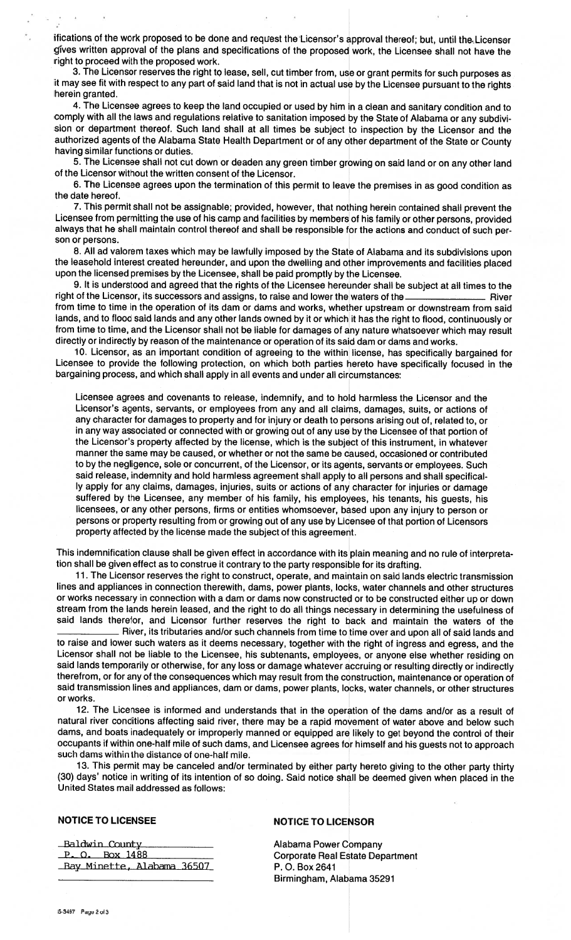ifications of the work proposed to be done and request the Licensor's approval thereof; but, until the Licensor gives written approval of the plans and specifications of the proposed work, the Licensee shall not have the right to proceed with the proposed work.

3. The Licensor reserves the right to lease, sell, cut timber from, use or grant permits for such purposes as it may see fit with respect to any part of said land that is not in actual use by the Licensee pursuant to the rights herein granted.

4. The Licensee agrees to keep the land occupied or used by him in a clean and sanitary condition and to comply with all the laws and regulations relative to sanitation imposed by the State of Alabama or any subdivision or department thereof. Such land shall at all times be subject to inspection by the Licensor and the authorized agents of the Alabama State Health Department or of any other department of the State or County having similar functions or duties.

5. The Licensee shall not cut down or deaden any green timber growing on said land or on any other land of the Licensor without the written consent of the Licensor.

6. The Licensee agrees upon the termination of this permit to leave the premises in as good condition as the date hereof.

7. This permit shall not be assignable; provided, however, that nothing herein contained shall prevent the Licensee from permitting the use of his camp and facilities by members of his family or other persons, provided always that he shall maintain control thereof and shall be responsible for the actions and conduct of such person or persons.

8. All ad valorem taxes which may be lawfully imposed by the State of Alabama and its subdivisions upon the leasehold interest created hereunder, and upon the dwelling and other improvements and facilities placed upon the licensed premises by the Licensee, shall be paid promptly by the Licensee.

9. It is understood and agreed that the rights of the Licensee hereunder shall be subject at all times to the right of the Licensor, its successors and assigns, to raise and lower the waters of the **River** River from time to time in the operation of its dam or dams and works, whether upstream or downstream from said lands, and to flood said lands and any other lands owned by it or which it has the right to flood, continuously or from time to time, and the Licensor shall not be liable for damages of any nature whatsoever which may result directly or indirectly by reason of the maintenance or operation of its said dam or dams and works.

10. Licensor, as an important condition of agreeing to the within license, has specifically bargained for Licensee to provide the following protection, on which both parties hereto have specifically focused in the bargaining process, and which shall apply in all events and under all circumstances:

Licensee agrees and covenants to release, indemnify, and to hold harmless the Licensor and the Licensor's agents, servants, or employees from any and all claims, damages, suits, or actions of any character for damages to property and for injury or death to persons arising out of, related to, or in any way associated or connected with or growing out of any use by the Licensee of that portion of the Licensor's property affected by the license, which is the subject of this instrument, in whatever manner the same may be caused, or whether or not the same be caused, occasioned or contributed to by the negligence, sole or concurrent, of the Licensor, or its agents, servants or employees. Such said release, indemnity and hold harmless agreement shall apply to all persons and shall specifically apply for any claims, damages, injuries, suits or actions of any character for injuries or damage suffered by the Licensee, any member of his family, his employees, his tenants, his guests, his licensees, or any other persons, firms or entities whomsoever, based upon any injury to person or persons or property resulting from or growing out of any use by Licensee of that portion of Licensors property affected by the license made the subject of this agreement.

This indemnification clause shall be given effect in accordance with its plain meaning and no rule of interpretation shall be given effect as to construe it contrary to the party responsible for its drafting.

11. The Licensor reserves the right to construct, operate, and maintain on said lands electric transmission lines and appliances in connection therewith, dams, power plants, locks, water channels and other structures or works necessary in connection with a dam or dams now constructed or to be constructed either up or down stream from the lands herein leased, and the right to do all things necessary in determining the usefulness of said lands therefor, and Licensor further reserves the right to back and maintain the waters of the

River, its tributaries and/or such channels from time to time over and upon all of said lands and to raise and lower such waters as it deems necessary, together with the right of ingress and egress, and the Licensor shall not be liable to the Licensee, his subtenants, employees, or anyone else whether residing on said lands temporarily or otherwise, for any loss or damage whatever accruing or resulting directly or indirectly therefrom, or for any of the consequences which may result from the construction, maintenance or operation of said transmission lines and appliances, dam or dams, power plants, locks, water channels, or other structures or works.

12. The Licensee is informed and understands that in the operation of the dams and/or as a result of natural river conditions affecting said river, there may be a rapid movement of water above and below such dams, and boats inadequately or improperly manned or equipped are likely to get beyond the control of their occupants if within one-half mile of such dams, and Licensee agrees for himself and his guests not to approach such dams within the distance of one-half mile.

13. This permit may be canceled and/or terminated by either party hereto giving to the other party thirty (30) days' notice in writing of its intention of so doing. Said notice shall be deemed given when placed in the United States mail addressed as follows:

## NOTICE TO LICENSEE NOTICE TO LICENSOR

Baldwin County P.O. Box 1488 Bay Minette, Alabama 36507

Alabama Power Company Corporate Real Estate Department P. 0. Box 2641 Birmingham, Alabama 35291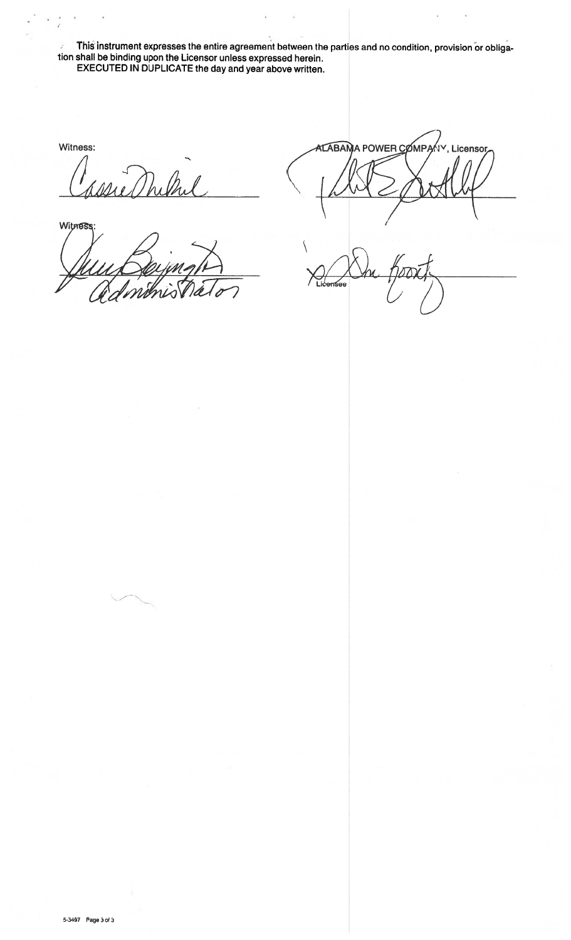**This instrument expresses the entire agreement between the parties and no condition, provision or obligation shall be binding upon the Licensor unless expressed herein. EXECUTED IN DUPLICATE the day and year above written.** 

**Witness:** 

Mulha

**Witness** 

**ALABAMA POWER COMPA** V, Licensor  $\sqrt{2}$ 

Licensee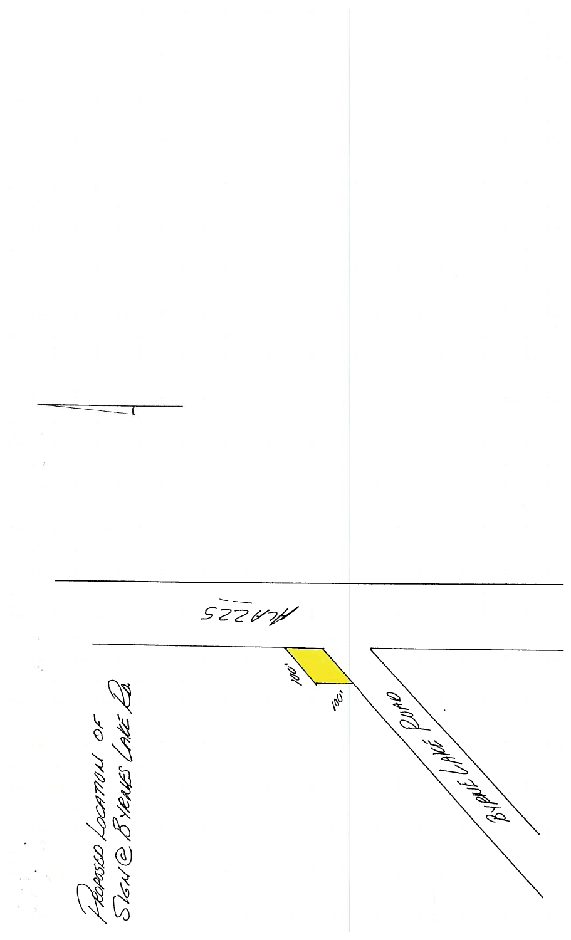$527674$  $\mathcal{Q}$ FRAGED LOCATION OF 100 1 30/4/7/20